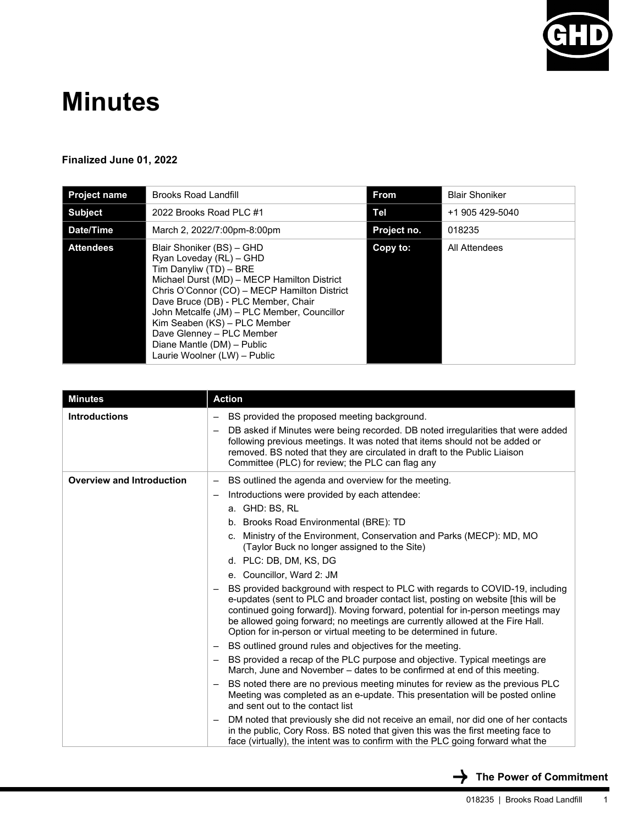

# **Minutes**

#### **Finalized June 01, 2022**

| <b>Project name</b> | <b>Brooks Road Landfill</b>                                                                                                                                                                                                                                                                                                                                                                    | <b>From</b> | <b>Blair Shoniker</b> |
|---------------------|------------------------------------------------------------------------------------------------------------------------------------------------------------------------------------------------------------------------------------------------------------------------------------------------------------------------------------------------------------------------------------------------|-------------|-----------------------|
| <b>Subject</b>      | 2022 Brooks Road PLC #1                                                                                                                                                                                                                                                                                                                                                                        | Tel         | +1 905 429-5040       |
| Date/Time           | March 2, 2022/7:00pm-8:00pm                                                                                                                                                                                                                                                                                                                                                                    | Project no. | 018235                |
| <b>Attendees</b>    | Blair Shoniker (BS) - GHD<br>Ryan Loveday (RL) - GHD<br>Tim Danyliw (TD) - BRE<br>Michael Durst (MD) - MECP Hamilton District<br>Chris O'Connor (CO) - MECP Hamilton District<br>Dave Bruce (DB) - PLC Member, Chair<br>John Metcalfe (JM) - PLC Member, Councillor<br>Kim Seaben (KS) - PLC Member<br>Dave Glenney - PLC Member<br>Diane Mantle (DM) - Public<br>Laurie Woolner (LW) - Public | Copy to:    | All Attendees         |

| <b>Minutes</b>                   | <b>Action</b>                                                                                                                                                                                                                                                                                                                                                                                                                                                                    |
|----------------------------------|----------------------------------------------------------------------------------------------------------------------------------------------------------------------------------------------------------------------------------------------------------------------------------------------------------------------------------------------------------------------------------------------------------------------------------------------------------------------------------|
| <b>Introductions</b>             | BS provided the proposed meeting background.<br>DB asked if Minutes were being recorded. DB noted irregularities that were added<br>following previous meetings. It was noted that items should not be added or                                                                                                                                                                                                                                                                  |
|                                  | removed. BS noted that they are circulated in draft to the Public Liaison<br>Committee (PLC) for review; the PLC can flag any                                                                                                                                                                                                                                                                                                                                                    |
| <b>Overview and Introduction</b> | BS outlined the agenda and overview for the meeting.<br>-<br>Introductions were provided by each attendee:<br>-<br>a. GHD: BS, RL                                                                                                                                                                                                                                                                                                                                                |
|                                  | b. Brooks Road Environmental (BRE): TD<br>c. Ministry of the Environment, Conservation and Parks (MECP): MD, MO<br>(Taylor Buck no longer assigned to the Site)<br>d. PLC: DB, DM, KS, DG                                                                                                                                                                                                                                                                                        |
|                                  | e. Councillor, Ward 2: JM<br>BS provided background with respect to PLC with regards to COVID-19, including<br>e-updates (sent to PLC and broader contact list, posting on website [this will be<br>continued going forward]). Moving forward, potential for in-person meetings may<br>be allowed going forward; no meetings are currently allowed at the Fire Hall.<br>Option for in-person or virtual meeting to be determined in future.                                      |
|                                  | BS outlined ground rules and objectives for the meeting.<br>$\overline{\phantom{0}}$<br>BS provided a recap of the PLC purpose and objective. Typical meetings are<br>March, June and November – dates to be confirmed at end of this meeting.<br>BS noted there are no previous meeting minutes for review as the previous PLC<br>$\overline{\phantom{0}}$<br>Meeting was completed as an e-update. This presentation will be posted online<br>and sent out to the contact list |
|                                  | DM noted that previously she did not receive an email, nor did one of her contacts<br>in the public, Cory Ross. BS noted that given this was the first meeting face to<br>face (virtually), the intent was to confirm with the PLC going forward what the                                                                                                                                                                                                                        |

 $\rightarrow$  The Power of Commitment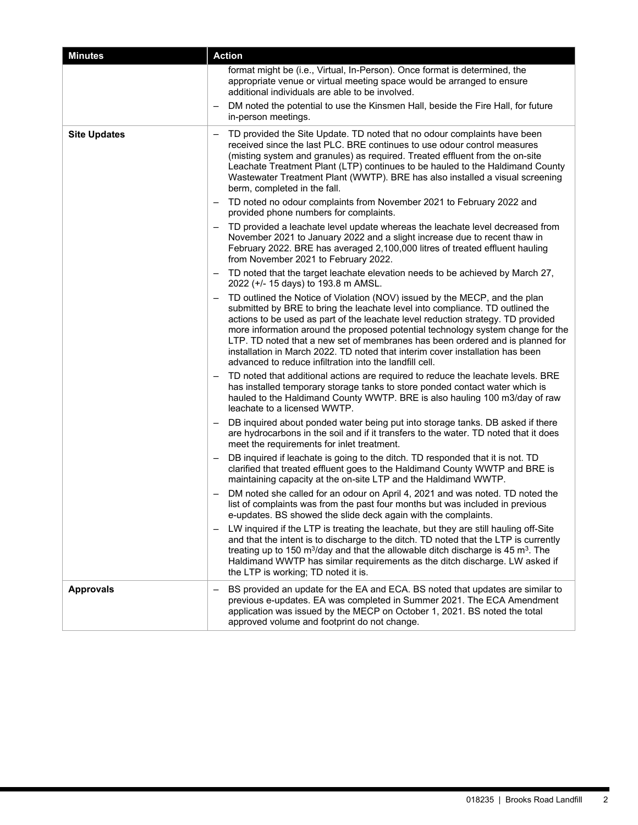| <b>Minutes</b>      | <b>Action</b>                                                                                                                                                                                                                                                                                                                                                                                                                                                                                                                                                   |  |
|---------------------|-----------------------------------------------------------------------------------------------------------------------------------------------------------------------------------------------------------------------------------------------------------------------------------------------------------------------------------------------------------------------------------------------------------------------------------------------------------------------------------------------------------------------------------------------------------------|--|
|                     | format might be (i.e., Virtual, In-Person). Once format is determined, the<br>appropriate venue or virtual meeting space would be arranged to ensure<br>additional individuals are able to be involved.                                                                                                                                                                                                                                                                                                                                                         |  |
|                     | DM noted the potential to use the Kinsmen Hall, beside the Fire Hall, for future<br>in-person meetings.                                                                                                                                                                                                                                                                                                                                                                                                                                                         |  |
| <b>Site Updates</b> | TD provided the Site Update. TD noted that no odour complaints have been<br>received since the last PLC. BRE continues to use odour control measures<br>(misting system and granules) as required. Treated effluent from the on-site<br>Leachate Treatment Plant (LTP) continues to be hauled to the Haldimand County<br>Wastewater Treatment Plant (WWTP). BRE has also installed a visual screening<br>berm, completed in the fall.                                                                                                                           |  |
|                     | TD noted no odour complaints from November 2021 to February 2022 and<br>provided phone numbers for complaints.                                                                                                                                                                                                                                                                                                                                                                                                                                                  |  |
|                     | TD provided a leachate level update whereas the leachate level decreased from<br>November 2021 to January 2022 and a slight increase due to recent thaw in<br>February 2022. BRE has averaged 2,100,000 litres of treated effluent hauling<br>from November 2021 to February 2022.                                                                                                                                                                                                                                                                              |  |
|                     | TD noted that the target leachate elevation needs to be achieved by March 27,<br>2022 (+/- 15 days) to 193.8 m AMSL.                                                                                                                                                                                                                                                                                                                                                                                                                                            |  |
|                     | TD outlined the Notice of Violation (NOV) issued by the MECP, and the plan<br>submitted by BRE to bring the leachate level into compliance. TD outlined the<br>actions to be used as part of the leachate level reduction strategy. TD provided<br>more information around the proposed potential technology system change for the<br>LTP. TD noted that a new set of membranes has been ordered and is planned for<br>installation in March 2022. TD noted that interim cover installation has been<br>advanced to reduce infiltration into the landfill cell. |  |
|                     | TD noted that additional actions are required to reduce the leachate levels. BRE<br>$\qquad \qquad -$<br>has installed temporary storage tanks to store ponded contact water which is<br>hauled to the Haldimand County WWTP. BRE is also hauling 100 m3/day of raw<br>leachate to a licensed WWTP.                                                                                                                                                                                                                                                             |  |
|                     | DB inquired about ponded water being put into storage tanks. DB asked if there<br>are hydrocarbons in the soil and if it transfers to the water. TD noted that it does<br>meet the requirements for inlet treatment.                                                                                                                                                                                                                                                                                                                                            |  |
|                     | DB inquired if leachate is going to the ditch. TD responded that it is not. TD<br>clarified that treated effluent goes to the Haldimand County WWTP and BRE is<br>maintaining capacity at the on-site LTP and the Haldimand WWTP.                                                                                                                                                                                                                                                                                                                               |  |
|                     | DM noted she called for an odour on April 4, 2021 and was noted. TD noted the<br>list of complaints was from the past four months but was included in previous<br>e-updates. BS showed the slide deck again with the complaints.                                                                                                                                                                                                                                                                                                                                |  |
|                     | LW inquired if the LTP is treating the leachate, but they are still hauling off-Site<br>and that the intent is to discharge to the ditch. TD noted that the LTP is currently<br>treating up to 150 $m^3$ /day and that the allowable ditch discharge is 45 $m^3$ . The<br>Haldimand WWTP has similar requirements as the ditch discharge. LW asked if<br>the LTP is working; TD noted it is.                                                                                                                                                                    |  |
| <b>Approvals</b>    | BS provided an update for the EA and ECA. BS noted that updates are similar to<br>previous e-updates. EA was completed in Summer 2021. The ECA Amendment<br>application was issued by the MECP on October 1, 2021. BS noted the total<br>approved volume and footprint do not change.                                                                                                                                                                                                                                                                           |  |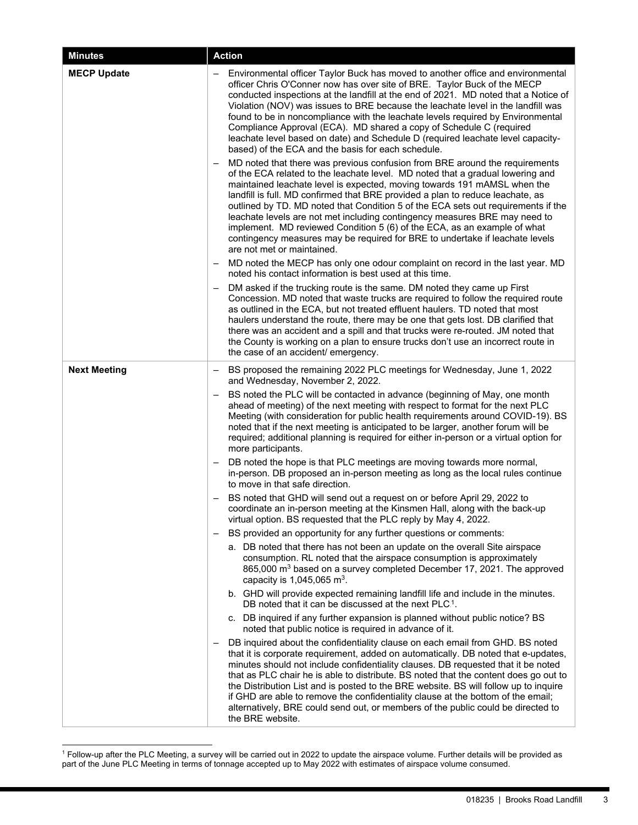| <b>Minutes</b>      | <b>Action</b>                                                                                                                                                                                                                                                                                                                                                                                                                                                                                                                                                                                                                                                                                                 |  |
|---------------------|---------------------------------------------------------------------------------------------------------------------------------------------------------------------------------------------------------------------------------------------------------------------------------------------------------------------------------------------------------------------------------------------------------------------------------------------------------------------------------------------------------------------------------------------------------------------------------------------------------------------------------------------------------------------------------------------------------------|--|
| <b>MECP Update</b>  | - Environmental officer Taylor Buck has moved to another office and environmental<br>officer Chris O'Conner now has over site of BRE. Taylor Buck of the MECP<br>conducted inspections at the landfill at the end of 2021. MD noted that a Notice of<br>Violation (NOV) was issues to BRE because the leachate level in the landfill was<br>found to be in noncompliance with the leachate levels required by Environmental<br>Compliance Approval (ECA). MD shared a copy of Schedule C (required<br>leachate level based on date) and Schedule D (required leachate level capacity-<br>based) of the ECA and the basis for each schedule.                                                                   |  |
|                     | MD noted that there was previous confusion from BRE around the requirements<br>$\qquad \qquad -$<br>of the ECA related to the leachate level. MD noted that a gradual lowering and<br>maintained leachate level is expected, moving towards 191 mAMSL when the<br>landfill is full. MD confirmed that BRE provided a plan to reduce leachate, as<br>outlined by TD. MD noted that Condition 5 of the ECA sets out requirements if the<br>leachate levels are not met including contingency measures BRE may need to<br>implement. MD reviewed Condition 5 (6) of the ECA, as an example of what<br>contingency measures may be required for BRE to undertake if leachate levels<br>are not met or maintained. |  |
|                     | MD noted the MECP has only one odour complaint on record in the last year. MD<br>noted his contact information is best used at this time.                                                                                                                                                                                                                                                                                                                                                                                                                                                                                                                                                                     |  |
|                     | DM asked if the trucking route is the same. DM noted they came up First<br>Concession. MD noted that waste trucks are required to follow the required route<br>as outlined in the ECA, but not treated effluent haulers. TD noted that most<br>haulers understand the route, there may be one that gets lost. DB clarified that<br>there was an accident and a spill and that trucks were re-routed. JM noted that<br>the County is working on a plan to ensure trucks don't use an incorrect route in<br>the case of an accident/ emergency.                                                                                                                                                                 |  |
| <b>Next Meeting</b> | BS proposed the remaining 2022 PLC meetings for Wednesday, June 1, 2022<br>and Wednesday, November 2, 2022.                                                                                                                                                                                                                                                                                                                                                                                                                                                                                                                                                                                                   |  |
|                     | BS noted the PLC will be contacted in advance (beginning of May, one month<br>ahead of meeting) of the next meeting with respect to format for the next PLC<br>Meeting (with consideration for public health requirements around COVID-19). BS<br>noted that if the next meeting is anticipated to be larger, another forum will be<br>required; additional planning is required for either in-person or a virtual option for<br>more participants.                                                                                                                                                                                                                                                           |  |
|                     | DB noted the hope is that PLC meetings are moving towards more normal,<br>in-person. DB proposed an in-person meeting as long as the local rules continue<br>to move in that safe direction.                                                                                                                                                                                                                                                                                                                                                                                                                                                                                                                  |  |
|                     | BS noted that GHD will send out a request on or before April 29, 2022 to<br>coordinate an in-person meeting at the Kinsmen Hall, along with the back-up<br>virtual option. BS requested that the PLC reply by May 4, 2022.                                                                                                                                                                                                                                                                                                                                                                                                                                                                                    |  |
|                     | BS provided an opportunity for any further questions or comments:                                                                                                                                                                                                                                                                                                                                                                                                                                                                                                                                                                                                                                             |  |
|                     | a. DB noted that there has not been an update on the overall Site airspace<br>consumption. RL noted that the airspace consumption is approximately<br>865,000 m <sup>3</sup> based on a survey completed December 17, 2021. The approved<br>capacity is $1,045,065$ m <sup>3</sup> .                                                                                                                                                                                                                                                                                                                                                                                                                          |  |
|                     | b. GHD will provide expected remaining landfill life and include in the minutes.<br>DB noted that it can be discussed at the next PLC. <sup>1</sup> .                                                                                                                                                                                                                                                                                                                                                                                                                                                                                                                                                         |  |
|                     | c. DB inquired if any further expansion is planned without public notice? BS<br>noted that public notice is required in advance of it.                                                                                                                                                                                                                                                                                                                                                                                                                                                                                                                                                                        |  |
|                     | DB inquired about the confidentiality clause on each email from GHD. BS noted<br>$\overline{\phantom{0}}$<br>that it is corporate requirement, added on automatically. DB noted that e-updates,<br>minutes should not include confidentiality clauses. DB requested that it be noted<br>that as PLC chair he is able to distribute. BS noted that the content does go out to<br>the Distribution List and is posted to the BRE website. BS will follow up to inquire<br>if GHD are able to remove the confidentiality clause at the bottom of the email;<br>alternatively, BRE could send out, or members of the public could be directed to<br>the BRE website.                                              |  |

<sup>1</sup> Follow-up after the PLC Meeting, a survey will be carried out in 2022 to update the airspace volume. Further details will be provided as part of the June PLC Meeting in terms of tonnage accepted up to May 2022 with estimates of airspace volume consumed.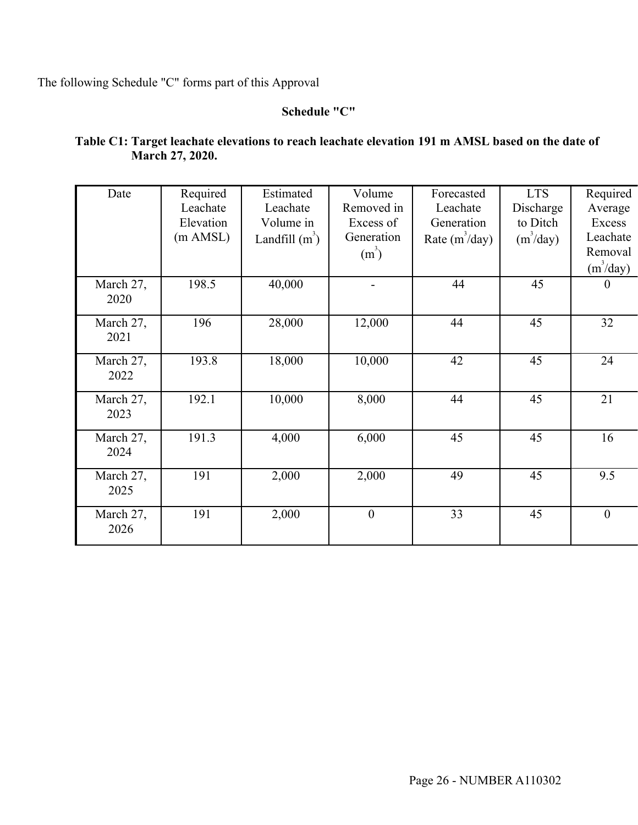The following Schedule "C" forms part of this Approval

## **Schedule "C"**

## **Table C1: Target leachate elevations to reach leachate elevation 191 m AMSL based on the date of March 27, 2020.**

| Date              | Required<br>Leachate<br>Elevation<br>$(m$ AMSL $)$ | Estimated<br>Leachate<br>Volume in<br>Landfill $(m^3)$ | Volume<br>Removed in<br>Excess of<br>Generation<br>$(m^3)$ | Forecasted<br>Leachate<br>Generation<br>Rate $(m^3/day)$ | <b>LTS</b><br>Discharge<br>to Ditch<br>$(m^3$ /day) | Required<br>Average<br>Excess<br>Leachate<br>Removal<br>$(m^3/day)$ |
|-------------------|----------------------------------------------------|--------------------------------------------------------|------------------------------------------------------------|----------------------------------------------------------|-----------------------------------------------------|---------------------------------------------------------------------|
| March 27,<br>2020 | 198.5                                              | 40,000                                                 |                                                            | 44                                                       | 45                                                  | 0                                                                   |
| March 27,<br>2021 | 196                                                | 28,000                                                 | 12,000                                                     | 44                                                       | 45                                                  | 32                                                                  |
| March 27,<br>2022 | 193.8                                              | 18,000                                                 | 10,000                                                     | 42                                                       | 45                                                  | 24                                                                  |
| March 27,<br>2023 | 192.1                                              | 10,000                                                 | 8,000                                                      | 44                                                       | 45                                                  | 21                                                                  |
| March 27,<br>2024 | 191.3                                              | 4,000                                                  | 6,000                                                      | 45                                                       | 45                                                  | 16                                                                  |
| March 27,<br>2025 | 191                                                | 2,000                                                  | 2,000                                                      | 49                                                       | 45                                                  | 9.5                                                                 |
| March 27,<br>2026 | 191                                                | 2,000                                                  | $\boldsymbol{0}$                                           | 33                                                       | 45                                                  | $\overline{0}$                                                      |